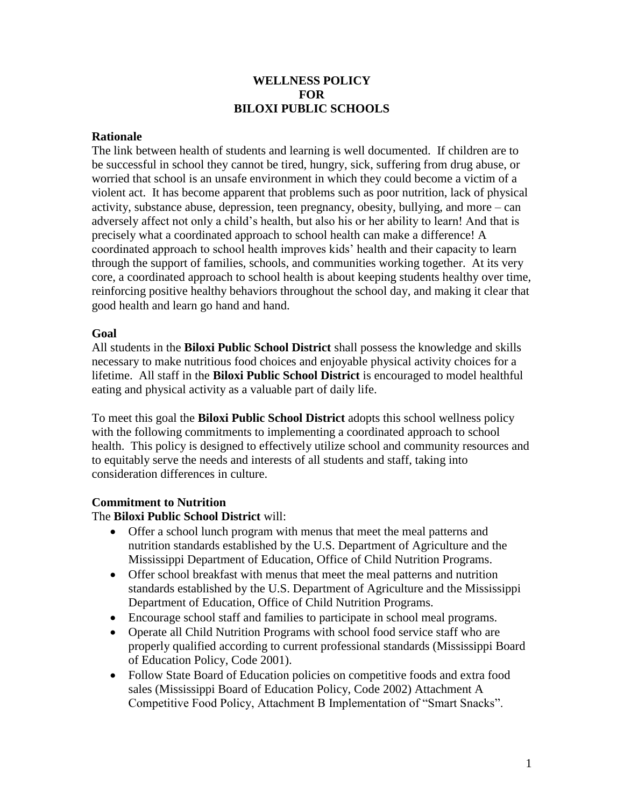### **WELLNESS POLICY FOR BILOXI PUBLIC SCHOOLS**

### **Rationale**

The link between health of students and learning is well documented. If children are to be successful in school they cannot be tired, hungry, sick, suffering from drug abuse, or worried that school is an unsafe environment in which they could become a victim of a violent act. It has become apparent that problems such as poor nutrition, lack of physical activity, substance abuse, depression, teen pregnancy, obesity, bullying, and more – can adversely affect not only a child's health, but also his or her ability to learn! And that is precisely what a coordinated approach to school health can make a difference! A coordinated approach to school health improves kids' health and their capacity to learn through the support of families, schools, and communities working together. At its very core, a coordinated approach to school health is about keeping students healthy over time, reinforcing positive healthy behaviors throughout the school day, and making it clear that good health and learn go hand and hand.

### **Goal**

All students in the **Biloxi Public School District** shall possess the knowledge and skills necessary to make nutritious food choices and enjoyable physical activity choices for a lifetime. All staff in the **Biloxi Public School District** is encouraged to model healthful eating and physical activity as a valuable part of daily life.

To meet this goal the **Biloxi Public School District** adopts this school wellness policy with the following commitments to implementing a coordinated approach to school health. This policy is designed to effectively utilize school and community resources and to equitably serve the needs and interests of all students and staff, taking into consideration differences in culture.

### **Commitment to Nutrition**

The **Biloxi Public School District** will:

- Offer a school lunch program with menus that meet the meal patterns and nutrition standards established by the U.S. Department of Agriculture and the Mississippi Department of Education, Office of Child Nutrition Programs.
- Offer school breakfast with menus that meet the meal patterns and nutrition standards established by the U.S. Department of Agriculture and the Mississippi Department of Education, Office of Child Nutrition Programs.
- Encourage school staff and families to participate in school meal programs.
- Operate all Child Nutrition Programs with school food service staff who are properly qualified according to current professional standards (Mississippi Board of Education Policy, Code 2001).
- Follow State Board of Education policies on competitive foods and extra food sales (Mississippi Board of Education Policy, Code 2002) Attachment A Competitive Food Policy, Attachment B Implementation of "Smart Snacks".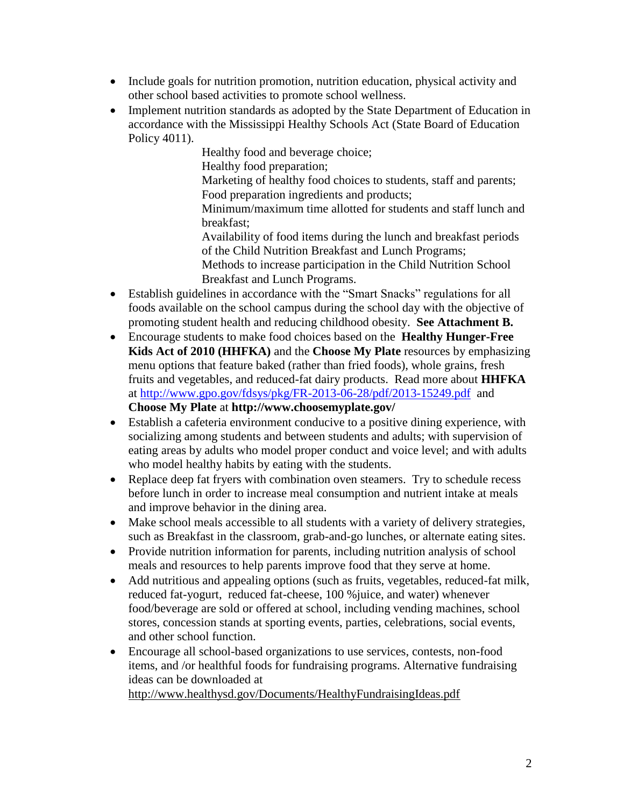- Include goals for nutrition promotion, nutrition education, physical activity and other school based activities to promote school wellness.
- Implement nutrition standards as adopted by the State Department of Education in accordance with the Mississippi Healthy Schools Act (State Board of Education Policy 4011).

Healthy food and beverage choice;

Healthy food preparation;

Marketing of healthy food choices to students, staff and parents; Food preparation ingredients and products;

Minimum/maximum time allotted for students and staff lunch and breakfast;

Availability of food items during the lunch and breakfast periods of the Child Nutrition Breakfast and Lunch Programs;

Methods to increase participation in the Child Nutrition School Breakfast and Lunch Programs.

- Establish guidelines in accordance with the "Smart Snacks" regulations for all foods available on the school campus during the school day with the objective of promoting student health and reducing childhood obesity. **See Attachment B.**
- Encourage students to make food choices based on the **Healthy Hunger-Free Kids Act of 2010 (HHFKA)** and the **Choose My Plate** resources by emphasizing menu options that feature baked (rather than fried foods), whole grains, fresh fruits and vegetables, and reduced-fat dairy products. Read more about **HHFKA**  at<http://www.gpo.gov/fdsys/pkg/FR-2013-06-28/pdf/2013-15249.pdf>and **Choose My Plate** at **http://www.choosemyplate.gov/**
- Establish a cafeteria environment conducive to a positive dining experience, with socializing among students and between students and adults; with supervision of eating areas by adults who model proper conduct and voice level; and with adults who model healthy habits by eating with the students.
- Replace deep fat fryers with combination oven steamers. Try to schedule recess before lunch in order to increase meal consumption and nutrient intake at meals and improve behavior in the dining area.
- Make school meals accessible to all students with a variety of delivery strategies, such as Breakfast in the classroom, grab-and-go lunches, or alternate eating sites.
- Provide nutrition information for parents, including nutrition analysis of school meals and resources to help parents improve food that they serve at home.
- Add nutritious and appealing options (such as fruits, vegetables, reduced-fat milk, reduced fat-yogurt, reduced fat-cheese, 100 %juice, and water) whenever food/beverage are sold or offered at school, including vending machines, school stores, concession stands at sporting events, parties, celebrations, social events, and other school function.
- Encourage all school-based organizations to use services, contests, non-food items, and /or healthful foods for fundraising programs. Alternative fundraising ideas can be downloaded at

http://www.healthysd.gov/Documents/HealthyFundraisingIdeas.pdf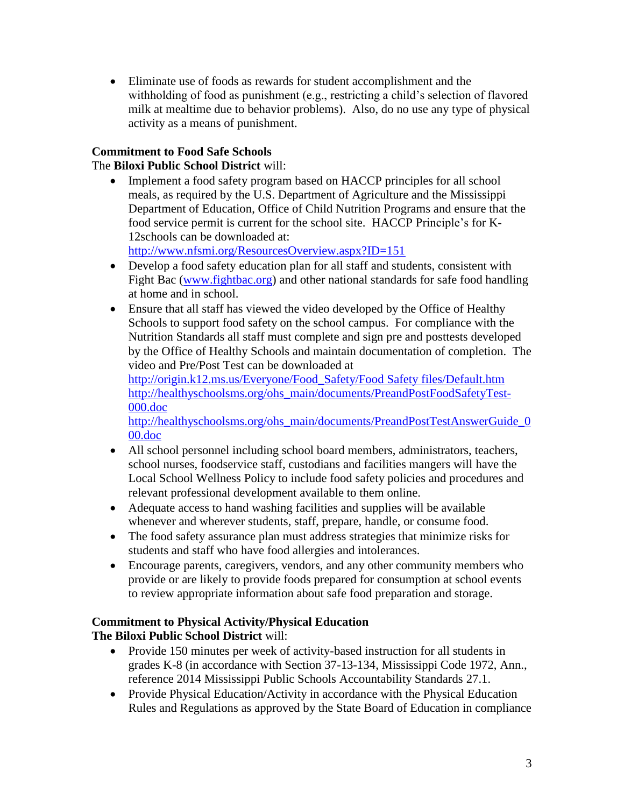Eliminate use of foods as rewards for student accomplishment and the withholding of food as punishment (e.g., restricting a child's selection of flavored milk at mealtime due to behavior problems). Also, do no use any type of physical activity as a means of punishment.

# **Commitment to Food Safe Schools**

# The **Biloxi Public School District** will:

 Implement a food safety program based on HACCP principles for all school meals, as required by the U.S. Department of Agriculture and the Mississippi Department of Education, Office of Child Nutrition Programs and ensure that the food service permit is current for the school site. HACCP Principle's for K-12schools can be downloaded at:

<http://www.nfsmi.org/ResourcesOverview.aspx?ID=151>

- Develop a food safety education plan for all staff and students, consistent with Fight Bac [\(www.fightbac.org\)](http://www.fightbac.org/) and other national standards for safe food handling at home and in school.
- Ensure that all staff has viewed the video developed by the Office of Healthy Schools to support food safety on the school campus. For compliance with the Nutrition Standards all staff must complete and sign pre and posttests developed by the Office of Healthy Schools and maintain documentation of completion. The video and Pre/Post Test can be downloaded at

[http://origin.k12.ms.us/Everyone/Food\\_Safety/Food Safety files/Default.htm](http://origin.k12.ms.us/Everyone/Food_Safety/Food%20Safety_files/Default.htm) [http://healthyschoolsms.org/ohs\\_main/documents/PreandPostFoodSafetyTest-](http://healthyschoolsms.org/ohs_main/documents/PreandPostFoodSafetyTest-000.doc)[000.doc](http://healthyschoolsms.org/ohs_main/documents/PreandPostFoodSafetyTest-000.doc)

[http://healthyschoolsms.org/ohs\\_main/documents/PreandPostTestAnswerGuide\\_0](http://healthyschoolsms.org/ohs_main/documents/PreandPostTestAnswerGuide_000.doc) [00.doc](http://healthyschoolsms.org/ohs_main/documents/PreandPostTestAnswerGuide_000.doc)

- All school personnel including school board members, administrators, teachers, school nurses, foodservice staff, custodians and facilities mangers will have the Local School Wellness Policy to include food safety policies and procedures and relevant professional development available to them online.
- Adequate access to hand washing facilities and supplies will be available whenever and wherever students, staff, prepare, handle, or consume food.
- The food safety assurance plan must address strategies that minimize risks for students and staff who have food allergies and intolerances.
- Encourage parents, caregivers, vendors, and any other community members who provide or are likely to provide foods prepared for consumption at school events to review appropriate information about safe food preparation and storage.

### **Commitment to Physical Activity/Physical Education The Biloxi Public School District** will:

- Provide 150 minutes per week of activity-based instruction for all students in grades K-8 (in accordance with Section 37-13-134, Mississippi Code 1972, Ann., reference 2014 Mississippi Public Schools Accountability Standards 27.1.
- Provide Physical Education/Activity in accordance with the Physical Education Rules and Regulations as approved by the State Board of Education in compliance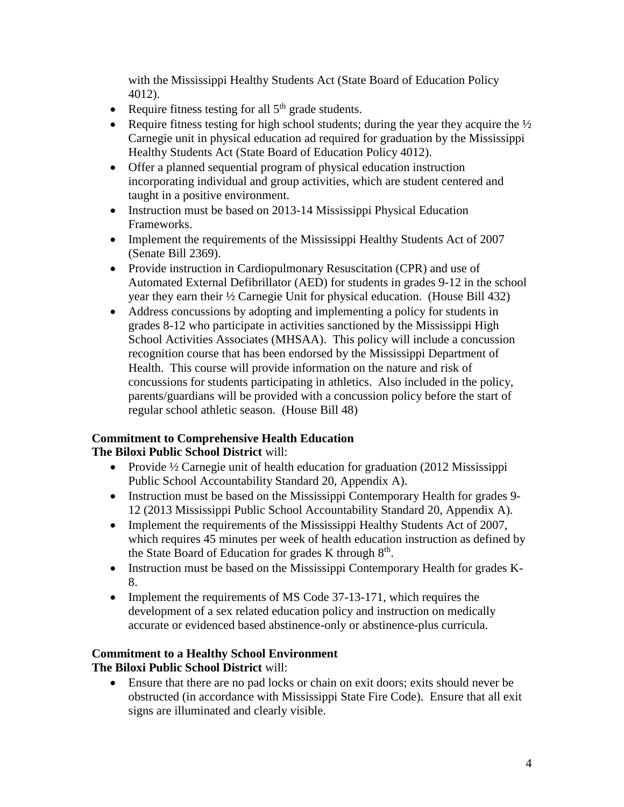with the Mississippi Healthy Students Act (State Board of Education Policy 4012).

- Require fitness testing for all  $5<sup>th</sup>$  grade students.
- Require fitness testing for high school students; during the year they acquire the  $\frac{1}{2}$ Carnegie unit in physical education ad required for graduation by the Mississippi Healthy Students Act (State Board of Education Policy 4012).
- Offer a planned sequential program of physical education instruction incorporating individual and group activities, which are student centered and taught in a positive environment.
- Instruction must be based on 2013-14 Mississippi Physical Education Frameworks.
- Implement the requirements of the Mississippi Healthy Students Act of 2007 (Senate Bill 2369).
- Provide instruction in Cardiopulmonary Resuscitation (CPR) and use of Automated External Defibrillator (AED) for students in grades 9-12 in the school year they earn their ½ Carnegie Unit for physical education. (House Bill 432)
- Address concussions by adopting and implementing a policy for students in grades 8-12 who participate in activities sanctioned by the Mississippi High School Activities Associates (MHSAA). This policy will include a concussion recognition course that has been endorsed by the Mississippi Department of Health. This course will provide information on the nature and risk of concussions for students participating in athletics. Also included in the policy, parents/guardians will be provided with a concussion policy before the start of regular school athletic season. (House Bill 48)

# **Commitment to Comprehensive Health Education**

# **The Biloxi Public School District** will:

- Provide ½ Carnegie unit of health education for graduation (2012 Mississippi Public School Accountability Standard 20, Appendix A).
- Instruction must be based on the Mississippi Contemporary Health for grades 9-12 (2013 Mississippi Public School Accountability Standard 20, Appendix A).
- Implement the requirements of the Mississippi Healthy Students Act of 2007, which requires 45 minutes per week of health education instruction as defined by the State Board of Education for grades K through 8<sup>th</sup>.
- Instruction must be based on the Mississippi Contemporary Health for grades K-8.
- Implement the requirements of MS Code 37-13-171, which requires the development of a sex related education policy and instruction on medically accurate or evidenced based abstinence-only or abstinence-plus curricula.

# **Commitment to a Healthy School Environment**

# **The Biloxi Public School District** will:

 Ensure that there are no pad locks or chain on exit doors; exits should never be obstructed (in accordance with Mississippi State Fire Code). Ensure that all exit signs are illuminated and clearly visible.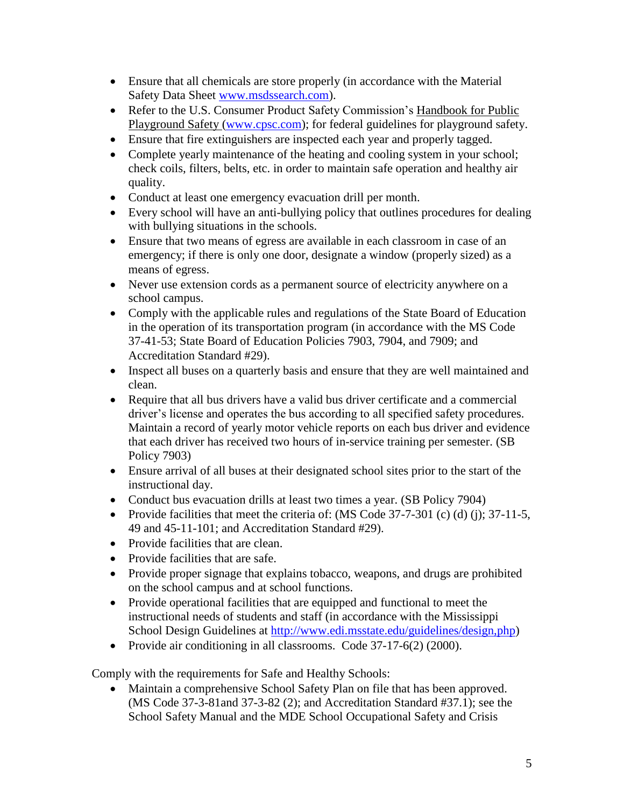- Ensure that all chemicals are store properly (in accordance with the Material Safety Data Sheet [www.msdssearch.com\)](http://www.msdssearch.com/).
- Refer to the U.S. Consumer Product Safety Commission's Handbook for Public Playground Safety [\(www.cpsc.com\)](http://www.cpsc.com/); for federal guidelines for playground safety.
- Ensure that fire extinguishers are inspected each year and properly tagged.
- Complete yearly maintenance of the heating and cooling system in your school; check coils, filters, belts, etc. in order to maintain safe operation and healthy air quality.
- Conduct at least one emergency evacuation drill per month.
- Every school will have an anti-bullying policy that outlines procedures for dealing with bullying situations in the schools.
- Ensure that two means of egress are available in each classroom in case of an emergency; if there is only one door, designate a window (properly sized) as a means of egress.
- Never use extension cords as a permanent source of electricity anywhere on a school campus.
- Comply with the applicable rules and regulations of the State Board of Education in the operation of its transportation program (in accordance with the MS Code 37-41-53; State Board of Education Policies 7903, 7904, and 7909; and Accreditation Standard #29).
- Inspect all buses on a quarterly basis and ensure that they are well maintained and clean.
- Require that all bus drivers have a valid bus driver certificate and a commercial driver's license and operates the bus according to all specified safety procedures. Maintain a record of yearly motor vehicle reports on each bus driver and evidence that each driver has received two hours of in-service training per semester. (SB Policy 7903)
- Ensure arrival of all buses at their designated school sites prior to the start of the instructional day.
- Conduct bus evacuation drills at least two times a year. (SB Policy 7904)
- Provide facilities that meet the criteria of: (MS Code  $37-7-301$  (c) (d) (j);  $37-11-5$ , 49 and 45-11-101; and Accreditation Standard #29).
- Provide facilities that are clean.
- Provide facilities that are safe.
- Provide proper signage that explains tobacco, weapons, and drugs are prohibited on the school campus and at school functions.
- Provide operational facilities that are equipped and functional to meet the instructional needs of students and staff (in accordance with the Mississippi School Design Guidelines at [http://www.edi.msstate.edu/guidelines/design,php\)](http://www.edi.msstate.edu/guidelines/design,php)
- Provide air conditioning in all classrooms. Code 37-17-6(2) (2000).

Comply with the requirements for Safe and Healthy Schools:

 Maintain a comprehensive School Safety Plan on file that has been approved. (MS Code 37-3-81and 37-3-82 (2); and Accreditation Standard #37.1); see the School Safety Manual and the MDE School Occupational Safety and Crisis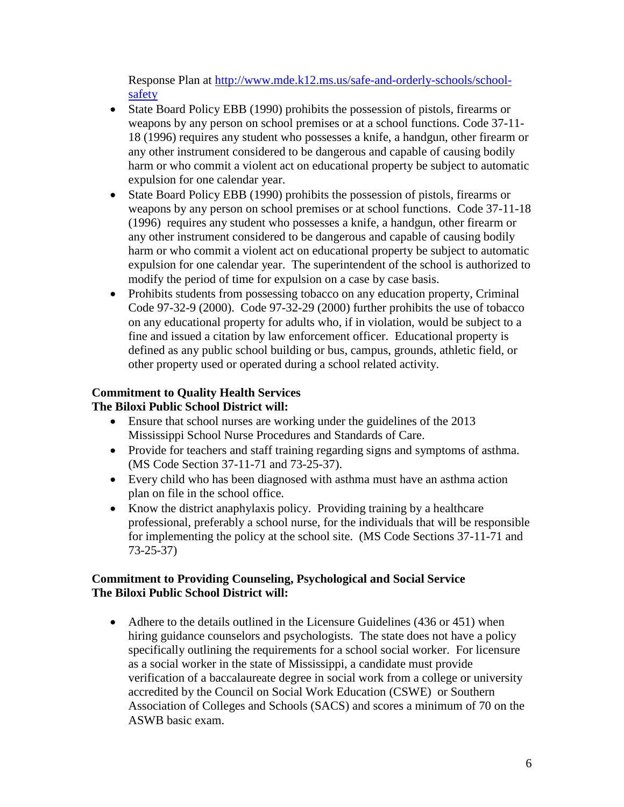Response Plan at [http://www.mde.k12.ms.us/safe-and-orderly-schools/school](http://www.mde.k12.ms.us/safe-and-orderly-schools/school-safety)[safety](http://www.mde.k12.ms.us/safe-and-orderly-schools/school-safety)

- State Board Policy EBB (1990) prohibits the possession of pistols, firearms or weapons by any person on school premises or at a school functions. Code 37-11- 18 (1996) requires any student who possesses a knife, a handgun, other firearm or any other instrument considered to be dangerous and capable of causing bodily harm or who commit a violent act on educational property be subject to automatic expulsion for one calendar year.
- State Board Policy EBB (1990) prohibits the possession of pistols, firearms or weapons by any person on school premises or at school functions. Code 37-11-18 (1996) requires any student who possesses a knife, a handgun, other firearm or any other instrument considered to be dangerous and capable of causing bodily harm or who commit a violent act on educational property be subject to automatic expulsion for one calendar year. The superintendent of the school is authorized to modify the period of time for expulsion on a case by case basis.
- Prohibits students from possessing tobacco on any education property, Criminal Code 97-32-9 (2000). Code 97-32-29 (2000) further prohibits the use of tobacco on any educational property for adults who, if in violation, would be subject to a fine and issued a citation by law enforcement officer. Educational property is defined as any public school building or bus, campus, grounds, athletic field, or other property used or operated during a school related activity.

# **Commitment to Quality Health Services**

# **The Biloxi Public School District will:**

- Ensure that school nurses are working under the guidelines of the 2013 Mississippi School Nurse Procedures and Standards of Care.
- Provide for teachers and staff training regarding signs and symptoms of asthma. (MS Code Section 37-11-71 and 73-25-37).
- Every child who has been diagnosed with asthma must have an asthma action plan on file in the school office.
- Know the district anaphylaxis policy. Providing training by a healthcare professional, preferably a school nurse, for the individuals that will be responsible for implementing the policy at the school site. (MS Code Sections 37-11-71 and 73-25-37)

# **Commitment to Providing Counseling, Psychological and Social Service The Biloxi Public School District will:**

• Adhere to the details outlined in the Licensure Guidelines (436 or 451) when hiring guidance counselors and psychologists. The state does not have a policy specifically outlining the requirements for a school social worker. For licensure as a social worker in the state of Mississippi, a candidate must provide verification of a baccalaureate degree in social work from a college or university accredited by the Council on Social Work Education (CSWE) or Southern Association of Colleges and Schools (SACS) and scores a minimum of 70 on the ASWB basic exam.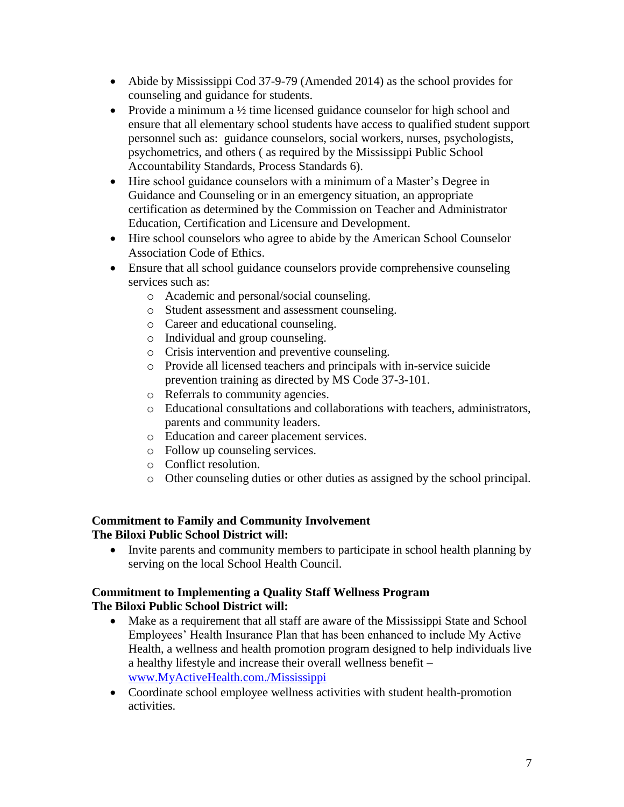- Abide by Mississippi Cod 37-9-79 (Amended 2014) as the school provides for counseling and guidance for students.
- Provide a minimum a  $\frac{1}{2}$  time licensed guidance counselor for high school and ensure that all elementary school students have access to qualified student support personnel such as: guidance counselors, social workers, nurses, psychologists, psychometrics, and others ( as required by the Mississippi Public School Accountability Standards, Process Standards 6).
- Hire school guidance counselors with a minimum of a Master's Degree in Guidance and Counseling or in an emergency situation, an appropriate certification as determined by the Commission on Teacher and Administrator Education, Certification and Licensure and Development.
- Hire school counselors who agree to abide by the American School Counselor Association Code of Ethics.
- Ensure that all school guidance counselors provide comprehensive counseling services such as:
	- o Academic and personal/social counseling.
	- o Student assessment and assessment counseling.
	- o Career and educational counseling.
	- o Individual and group counseling.
	- o Crisis intervention and preventive counseling.
	- o Provide all licensed teachers and principals with in-service suicide prevention training as directed by MS Code 37-3-101.
	- o Referrals to community agencies.
	- o Educational consultations and collaborations with teachers, administrators, parents and community leaders.
	- o Education and career placement services.
	- o Follow up counseling services.
	- o Conflict resolution.
	- o Other counseling duties or other duties as assigned by the school principal.

# **Commitment to Family and Community Involvement The Biloxi Public School District will:**

• Invite parents and community members to participate in school health planning by serving on the local School Health Council.

# **Commitment to Implementing a Quality Staff Wellness Program The Biloxi Public School District will:**

- Make as a requirement that all staff are aware of the Mississippi State and School Employees' Health Insurance Plan that has been enhanced to include My Active Health, a wellness and health promotion program designed to help individuals live a healthy lifestyle and increase their overall wellness benefit – [www.MyActiveHealth.com./Mississippi](http://www.myactivehealth.com./Mississippi)
- Coordinate school employee wellness activities with student health-promotion activities.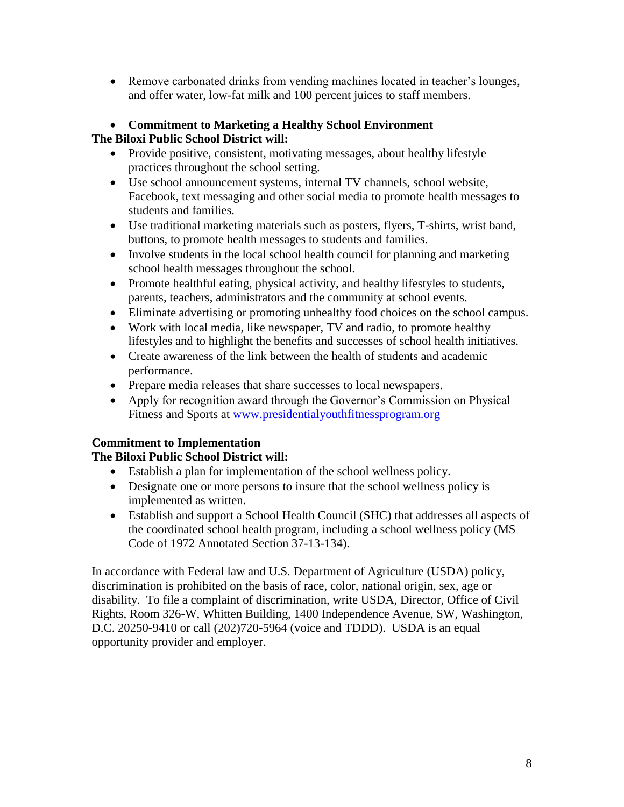Remove carbonated drinks from vending machines located in teacher's lounges, and offer water, low-fat milk and 100 percent juices to staff members.

# **Commitment to Marketing a Healthy School Environment The Biloxi Public School District will:**

- Provide positive, consistent, motivating messages, about healthy lifestyle practices throughout the school setting.
- Use school announcement systems, internal TV channels, school website, Facebook, text messaging and other social media to promote health messages to students and families.
- Use traditional marketing materials such as posters, flyers, T-shirts, wrist band, buttons, to promote health messages to students and families.
- Involve students in the local school health council for planning and marketing school health messages throughout the school.
- Promote healthful eating, physical activity, and healthy lifestyles to students, parents, teachers, administrators and the community at school events.
- Eliminate advertising or promoting unhealthy food choices on the school campus.
- Work with local media, like newspaper, TV and radio, to promote healthy lifestyles and to highlight the benefits and successes of school health initiatives.
- Create awareness of the link between the health of students and academic performance.
- Prepare media releases that share successes to local newspapers.
- Apply for recognition award through the Governor's Commission on Physical Fitness and Sports at [www.presidentialyouthfitnessprogram.org](http://www.presidentialyouthfitnessprogram.org/)

# **Commitment to Implementation**

# **The Biloxi Public School District will:**

- Establish a plan for implementation of the school wellness policy.
- Designate one or more persons to insure that the school wellness policy is implemented as written.
- Establish and support a School Health Council (SHC) that addresses all aspects of the coordinated school health program, including a school wellness policy (MS Code of 1972 Annotated Section 37-13-134).

In accordance with Federal law and U.S. Department of Agriculture (USDA) policy, discrimination is prohibited on the basis of race, color, national origin, sex, age or disability. To file a complaint of discrimination, write USDA, Director, Office of Civil Rights, Room 326-W, Whitten Building, 1400 Independence Avenue, SW, Washington, D.C. 20250-9410 or call (202)720-5964 (voice and TDDD). USDA is an equal opportunity provider and employer.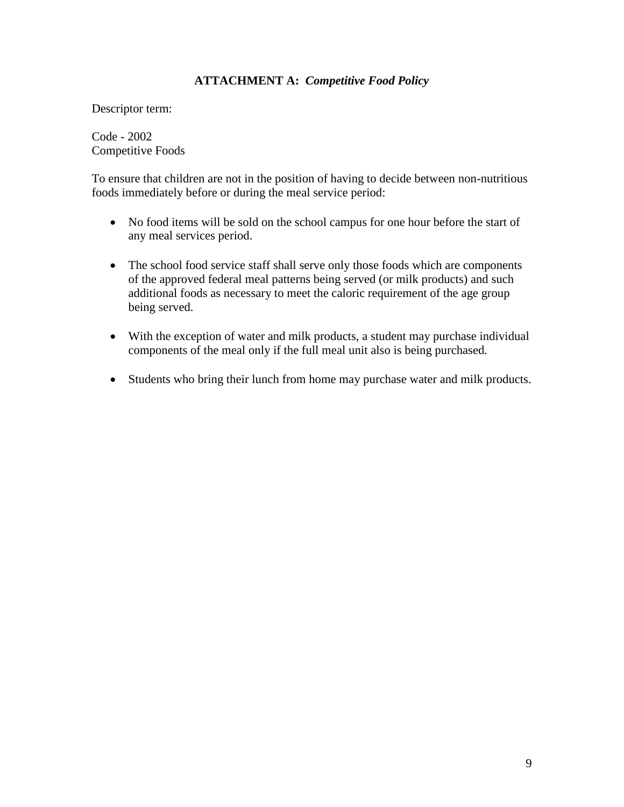# **ATTACHMENT A:** *Competitive Food Policy*

Descriptor term:

Code - 2002 Competitive Foods

To ensure that children are not in the position of having to decide between non-nutritious foods immediately before or during the meal service period:

- No food items will be sold on the school campus for one hour before the start of any meal services period.
- The school food service staff shall serve only those foods which are components of the approved federal meal patterns being served (or milk products) and such additional foods as necessary to meet the caloric requirement of the age group being served.
- With the exception of water and milk products, a student may purchase individual components of the meal only if the full meal unit also is being purchased.
- Students who bring their lunch from home may purchase water and milk products.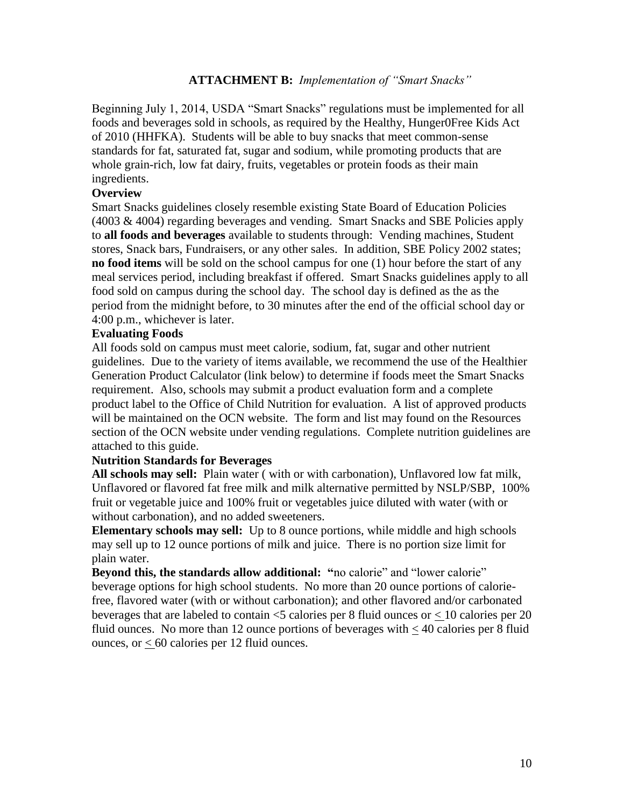### **ATTACHMENT B:** *Implementation of "Smart Snacks"*

Beginning July 1, 2014, USDA "Smart Snacks" regulations must be implemented for all foods and beverages sold in schools, as required by the Healthy, Hunger0Free Kids Act of 2010 (HHFKA). Students will be able to buy snacks that meet common-sense standards for fat, saturated fat, sugar and sodium, while promoting products that are whole grain-rich, low fat dairy, fruits, vegetables or protein foods as their main ingredients.

### **Overview**

Smart Snacks guidelines closely resemble existing State Board of Education Policies (4003 & 4004) regarding beverages and vending. Smart Snacks and SBE Policies apply to **all foods and beverages** available to students through: Vending machines, Student stores, Snack bars, Fundraisers, or any other sales. In addition, SBE Policy 2002 states; **no food items** will be sold on the school campus for one (1) hour before the start of any meal services period, including breakfast if offered. Smart Snacks guidelines apply to all food sold on campus during the school day. The school day is defined as the as the period from the midnight before, to 30 minutes after the end of the official school day or 4:00 p.m., whichever is later.

# **Evaluating Foods**

All foods sold on campus must meet calorie, sodium, fat, sugar and other nutrient guidelines. Due to the variety of items available, we recommend the use of the Healthier Generation Product Calculator (link below) to determine if foods meet the Smart Snacks requirement. Also, schools may submit a product evaluation form and a complete product label to the Office of Child Nutrition for evaluation. A list of approved products will be maintained on the OCN website. The form and list may found on the Resources section of the OCN website under vending regulations. Complete nutrition guidelines are attached to this guide.

### **Nutrition Standards for Beverages**

**All schools may sell:** Plain water ( with or with carbonation), Unflavored low fat milk, Unflavored or flavored fat free milk and milk alternative permitted by NSLP/SBP, 100% fruit or vegetable juice and 100% fruit or vegetables juice diluted with water (with or without carbonation), and no added sweeteners.

**Elementary schools may sell:** Up to 8 ounce portions, while middle and high schools may sell up to 12 ounce portions of milk and juice. There is no portion size limit for plain water.

**Beyond this, the standards allow additional: "**no calorie" and "lower calorie" beverage options for high school students. No more than 20 ounce portions of caloriefree, flavored water (with or without carbonation); and other flavored and/or carbonated beverages that are labeled to contain <5 calories per 8 fluid ounces or < 10 calories per 20 fluid ounces. No more than 12 ounce portions of beverages with  $<$  40 calories per 8 fluid ounces, or < 60 calories per 12 fluid ounces.